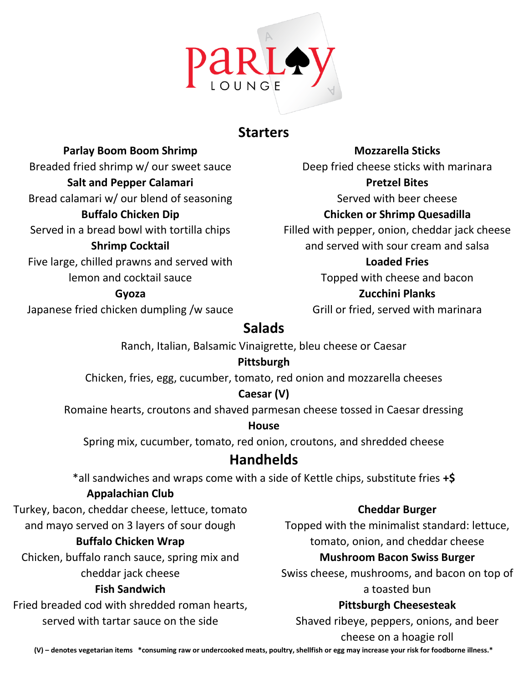

## **Starters**

**Parlay Boom Boom Shrimp** Breaded fried shrimp w/ our sweet sauce **Salt and Pepper Calamari** Bread calamari w/ our blend of seasoning **Buffalo Chicken Dip** Served in a bread bowl with tortilla chips **Shrimp Cocktail** Five large, chilled prawns and served with lemon and cocktail sauce **Gyoza**

Japanese fried chicken dumpling /w sauce

Deep fried cheese sticks with marinara **Pretzel Bites** Served with beer cheese **Chicken or Shrimp Quesadilla** Filled with pepper, onion, cheddar jack cheese and served with sour cream and salsa **Loaded Fries** Topped with cheese and bacon **Zucchini Planks**

**Mozzarella Sticks**

Grill or fried, served with marinara

# **Salads**

Ranch, Italian, Balsamic Vinaigrette, bleu cheese or Caesar

### **Pittsburgh**

Chicken, fries, egg, cucumber, tomato, red onion and mozzarella cheeses

### **Caesar (V)**

Romaine hearts, croutons and shaved parmesan cheese tossed in Caesar dressing

#### **House**

Spring mix, cucumber, tomato, red onion, croutons, and shredded cheese

# **Handhelds**

\*all sandwiches and wraps come with a side of Kettle chips, substitute fries **+\$**

### **Appalachian Club**

Turkey, bacon, cheddar cheese, lettuce, tomato

and mayo served on 3 layers of sour dough

### **Buffalo Chicken Wrap**

Chicken, buffalo ranch sauce, spring mix and cheddar jack cheese

### **Fish Sandwich**

Fried breaded cod with shredded roman hearts, served with tartar sauce on the side

### **Cheddar Burger**

Topped with the minimalist standard: lettuce, tomato, onion, and cheddar cheese

#### **Mushroom Bacon Swiss Burger**

Swiss cheese, mushrooms, and bacon on top of a toasted bun

### **Pittsburgh Cheesesteak**

Shaved ribeye, peppers, onions, and beer

cheese on a hoagie roll

**(V) – denotes vegetarian items \*consuming raw or undercooked meats, poultry, shellfish or egg may increase your risk for foodborne illness.\***